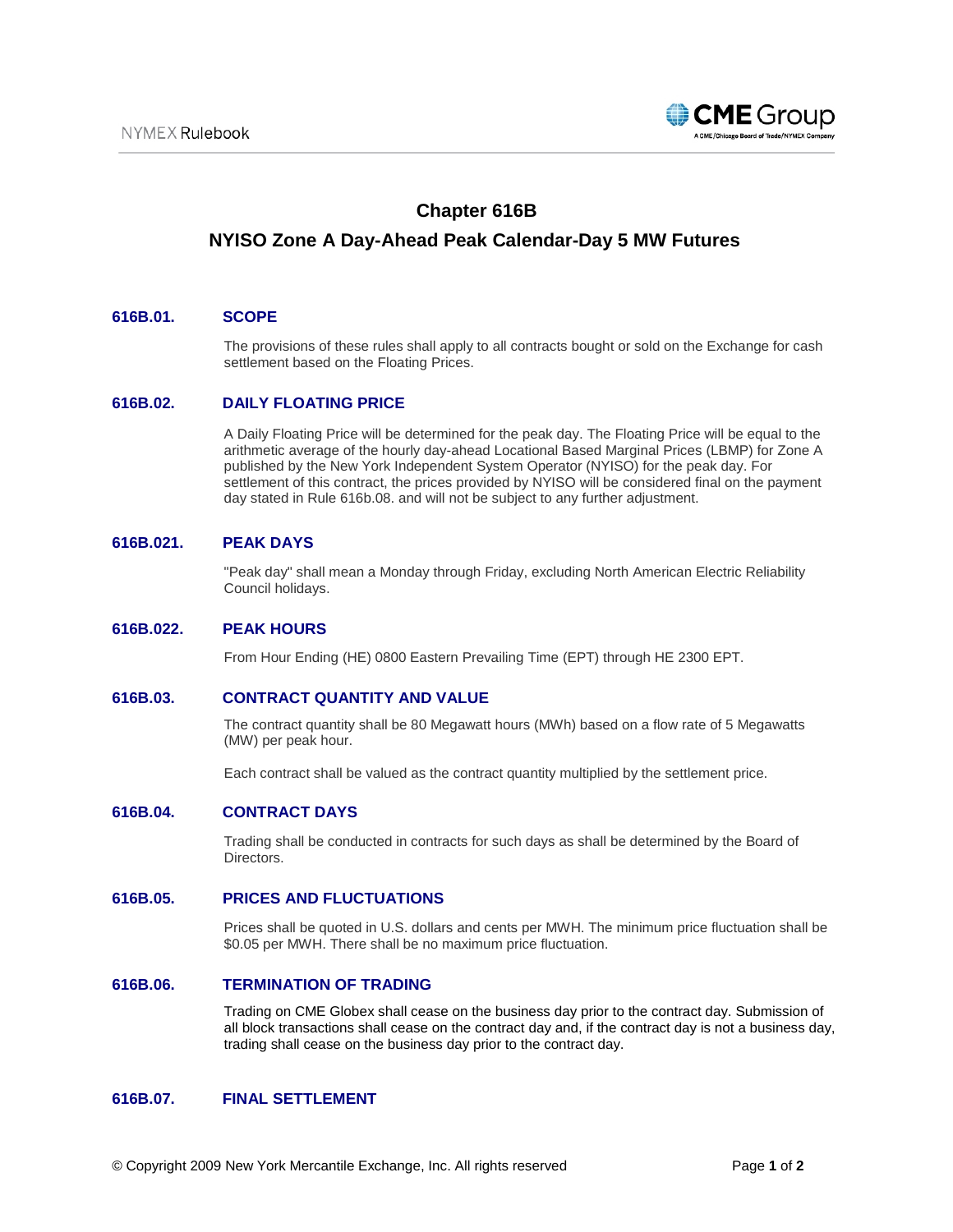

# **Chapter 616B**

# **NYISO Zone A Day-Ahead Peak Calendar-Day 5 MW Futures**

## **616B.01. SCOPE**

The provisions of these rules shall apply to all contracts bought or sold on the Exchange for cash settlement based on the Floating Prices.

## **616B.02. DAILY FLOATING PRICE**

A Daily Floating Price will be determined for the peak day. The Floating Price will be equal to the arithmetic average of the hourly day-ahead Locational Based Marginal Prices (LBMP) for Zone A published by the New York Independent System Operator (NYISO) for the peak day. For settlement of this contract, the prices provided by NYISO will be considered final on the payment day stated in Rule 616b.08. and will not be subject to any further adjustment.

## **616B.021. PEAK DAYS**

"Peak day" shall mean a Monday through Friday, excluding North American Electric Reliability Council holidays.

#### **616B.022. PEAK HOURS**

From Hour Ending (HE) 0800 Eastern Prevailing Time (EPT) through HE 2300 EPT.

#### **616B.03. CONTRACT QUANTITY AND VALUE**

The contract quantity shall be 80 Megawatt hours (MWh) based on a flow rate of 5 Megawatts (MW) per peak hour.

Each contract shall be valued as the contract quantity multiplied by the settlement price.

## **616B.04. CONTRACT DAYS**

Trading shall be conducted in contracts for such days as shall be determined by the Board of Directors.

# **616B.05. PRICES AND FLUCTUATIONS**

Prices shall be quoted in U.S. dollars and cents per MWH. The minimum price fluctuation shall be \$0.05 per MWH. There shall be no maximum price fluctuation.

# **616B.06. TERMINATION OF TRADING**

Trading on CME Globex shall cease on the business day prior to the contract day. Submission of all block transactions shall cease on the contract day and, if the contract day is not a business day, trading shall cease on the business day prior to the contract day.

### **616B.07. FINAL SETTLEMENT**